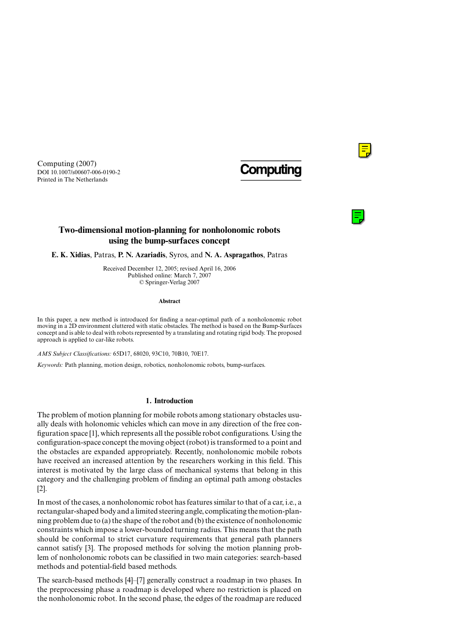

# **Two-dimensional motion-planning for nonholonomic robots using the bump-surfaces concept**

**E. K. Xidias**, Patras, **P. N. Azariadis**, Syros, and **N. A. Aspragathos**, Patras

Received December 12, 2005; revised April 16, 2006 Published online: March 7, 2007 © Springer-Verlag 2007

#### **Abstract**

In this paper, a new method is introduced for finding a near-optimal path of a nonholonomic robot moving in a 2D environment cluttered with static obstacles. The method is based on the Bump-Surfaces concept and is able to deal with robots represented by a translating and rotating rigid body. The proposed approach is applied to car-like robots.

*AMS Subject Classifications:* 65D17, 68020, 93C10, 70B10, 70E17.

*Keywords:* Path planning, motion design, robotics, nonholonomic robots, bump-surfaces.

## **1. Introduction**

The problem of motion planning for mobile robots among stationary obstacles usually deals with holonomic vehicles which can move in any direction of the free configuration space [1], which represents all the possible robot configurations. Using the configuration-space concept the moving object (robot) is transformed to a point and the obstacles are expanded appropriately. Recently, nonholonomic mobile robots have received an increased attention by the researchers working in this field. This interest is motivated by the large class of mechanical systems that belong in this category and the challenging problem of finding an optimal path among obstacles [2].

In most of the cases, a nonholonomic robot has features similar to that of a car, i.e., a rectangular-shaped body and a limited steering angle, complicating the motion-planning problem due to (a) the shape of the robot and (b) the existence of nonholonomic constraints which impose a lower-bounded turning radius. This means that the path should be conformal to strict curvature requirements that general path planners cannot satisfy [3]. The proposed methods for solving the motion planning problem of nonholonomic robots can be classified in two main categories: search-based methods and potential-field based methods.

The search-based methods [4]–[7] generally construct a roadmap in two phases. In the preprocessing phase a roadmap is developed where no restriction is placed on the nonholonomic robot. In the second phase, the edges of the roadmap are reduced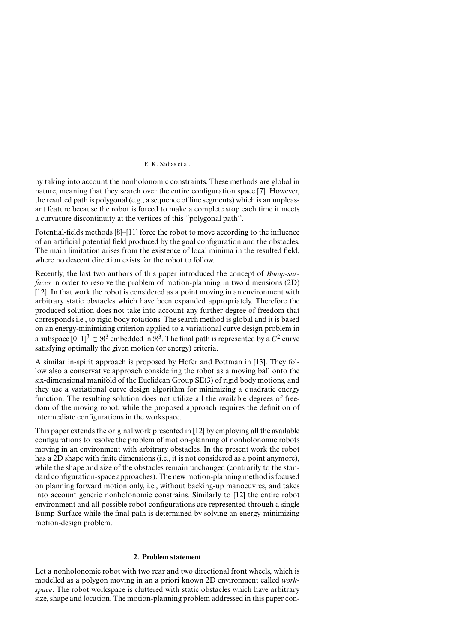by taking into account the nonholonomic constraints. These methods are global in nature, meaning that they search over the entire configuration space [7]. However, the resulted path is polygonal (e.g., a sequence of line segments) which is an unpleasant feature because the robot is forced to make a complete stop each time it meets a curvature discontinuity at the vertices of this "polygonal path''.

Potential-fields methods [8]–[11] force the robot to move according to the influence of an artificial potential field produced by the goal configuration and the obstacles. The main limitation arises from the existence of local minima in the resulted field, where no descent direction exists for the robot to follow.

Recently, the last two authors of this paper introduced the concept of *Bump-surfaces* in order to resolve the problem of motion-planning in two dimensions (2D) [12]. In that work the robot is considered as a point moving in an environment with arbitrary static obstacles which have been expanded appropriately. Therefore the produced solution does not take into account any further degree of freedom that corresponds i.e., to rigid body rotations. The search method is global and it is based on an energy-minimizing criterion applied to a variational curve design problem in a subspace  $[0, 1]^3 \subset \mathbb{R}^3$  embedded in  $\mathbb{R}^3$ . The final path is represented by a  $C^2$  curve satisfying optimally the given motion (or energy) criteria.

A similar in-spirit approach is proposed by Hofer and Pottman in [13]. They follow also a conservative approach considering the robot as a moving ball onto the six-dimensional manifold of the Euclidean Group SE(3) of rigid body motions, and they use a variational curve design algorithm for minimizing a quadratic energy function. The resulting solution does not utilize all the available degrees of freedom of the moving robot, while the proposed approach requires the definition of intermediate configurations in the workspace.

This paper extends the original work presented in [12] by employing all the available configurations to resolve the problem of motion-planning of nonholonomic robots moving in an environment with arbitrary obstacles. In the present work the robot has a 2D shape with finite dimensions *(i.e., it is not considered as a point anymore)*, while the shape and size of the obstacles remain unchanged (contrarily to the standard configuration-space approaches). The new motion-planning method is focused on planning forward motion only, i.e., without backing-up manoeuvres, and takes into account generic nonholonomic constrains. Similarly to [12] the entire robot environment and all possible robot configurations are represented through a single Bump-Surface while the final path is determined by solving an energy-minimizing motion-design problem.

# **2. Problem statement**

Let a nonholonomic robot with two rear and two directional front wheels, which is modelled as a polygon moving in an a priori known 2D environment called *workspace*. The robot workspace is cluttered with static obstacles which have arbitrary size, shape and location. The motion-planning problem addressed in this paper con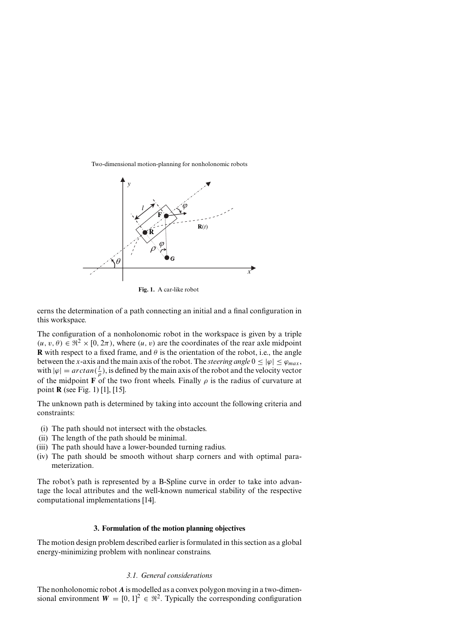Two-dimensional motion-planning for nonholonomic robots



**Fig. 1.** A car-like robot

cerns the determination of a path connecting an initial and a final configuration in this workspace.

The configuration of a nonholonomic robot in the workspace is given by a triple  $(u, v, \theta) \in \mathbb{R}^2 \times [0, 2\pi)$ , where  $(u, v)$  are the coordinates of the rear axle midpoint **R** with respect to a fixed frame, and  $\theta$  is the orientation of the robot, i.e., the angle between the *x*-axis and the main axis of the robot. The *steering angle*  $0 \leq |\varphi| \leq \varphi_{max}$ , with  $|\varphi| = \arctan(\frac{l}{\rho})$ , is defined by the main axis of the robot and the velocity vector of the midpoint **F** of the two front wheels. Finally  $\rho$  is the radius of curvature at point **R** (see Fig. 1) [1], [15].

The unknown path is determined by taking into account the following criteria and constraints:

- (i) The path should not intersect with the obstacles.
- (ii) The length of the path should be minimal.
- (iii) The path should have a lower-bounded turning radius.
- (iv) The path should be smooth without sharp corners and with optimal parameterization.

The robot's path is represented by a B-Spline curve in order to take into advantage the local attributes and the well-known numerical stability of the respective computational implementations [14].

# **3. Formulation of the motion planning objectives**

The motion design problem described earlier is formulated in this section as a global energy-minimizing problem with nonlinear constrains.

# *3.1. General considerations*

The nonholonomic robot *A* is modelled as a convex polygon moving in a two-dimensional environment  $W = [0, 1]^2 \in \mathbb{R}^2$ . Typically the corresponding configuration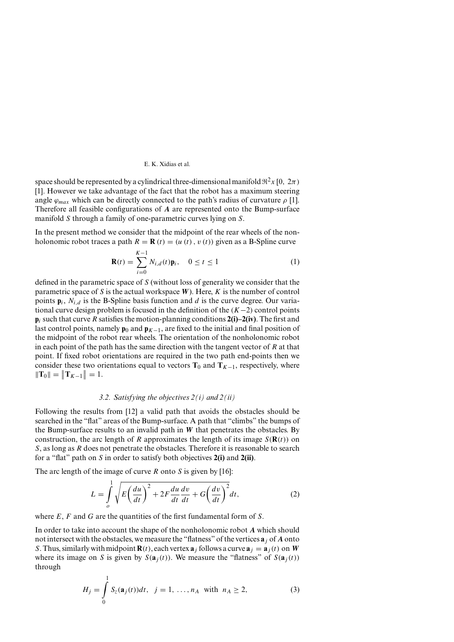#### E. K. Xidias et al.

space should be represented by a cylindrical three-dimensional manifold  $\Re^2 x$  [0,  $2\pi$ ) [1]. However we take advantage of the fact that the robot has a maximum steering angle  $\varphi_{max}$  which can be directly connected to the path's radius of curvature  $\rho$  [1]. Therefore all feasible configurations of *A* are represented onto the Bump-surface manifold *S* through a family of one-parametric curves lying on *S*.

In the present method we consider that the midpoint of the rear wheels of the nonholonomic robot traces a path  $R = \mathbf{R}(t) = (u(t), v(t))$  given as a B-Spline curve

$$
\mathbf{R}(t) = \sum_{i=0}^{K-1} N_{i,d}(t)\mathbf{p}_i, \quad 0 \le t \le 1
$$
 (1)

defined in the parametric space of *S* (without loss of generality we consider that the parametric space of *S* is the actual workspace *W*). Here, *K* is the number of control points  $\mathbf{p}_i$ ,  $N_{i,d}$  is the B-Spline basis function and *d* is the curve degree. Our variational curve design problem is focused in the definition of the *(K*−2*)* control points **p***<sup>i</sup>* such that curve *R* satisfies the motion-planning conditions **2(i)–2(iv)**. The first and last control points, namely  $\mathbf{p}_0$  and  $\mathbf{p}_{K-1}$ , are fixed to the initial and final position of the midpoint of the robot rear wheels. The orientation of the nonholonomic robot in each point of the path has the same direction with the tangent vector of *R* at that point. If fixed robot orientations are required in the two path end-points then we consider these two orientations equal to vectors  $T_0$  and  $T_{K-1}$ , respectively, where  $\|\mathbf{T}_0\| = \|\mathbf{T}_{K-1}\| = 1.$ 

### *3.2. Satisfying the objectives 2(i) and 2(ii)*

Following the results from [12] a valid path that avoids the obstacles should be searched in the "flat" areas of the Bump-surface. A path that "climbs" the bumps of the Bump-surface results to an invalid path in *W* that penetrates the obstacles. By construction, the arc length of *R* approximates the length of its image  $S(\mathbf{R}(t))$  on *S*, as long as *R* does not penetrate the obstacles. Therefore it is reasonable to search for a "flat" path on *S* in order to satisfy both objectives **2(i)** and **2(ii)**.

The arc length of the image of curve *R* onto *S* is given by [16]:

$$
L = \int_{o}^{1} \sqrt{E\left(\frac{du}{dt}\right)^{2} + 2F\frac{du}{dt}\frac{dv}{dt} + G\left(\frac{dv}{dt}\right)^{2}}dt, \tag{2}
$$

where *E*, *F* and *G* are the quantities of the first fundamental form of *S*.

In order to take into account the shape of the nonholonomic robot *A* which should not intersect with the obstacles, we measure the "flatness" of the vertices **a***<sup>j</sup>* of *A* onto *S*. Thus, similarly with midpoint  $\mathbf{R}(t)$ , each vertex  $\mathbf{a}_i$  follows a curve  $\mathbf{a}_i = \mathbf{a}_i(t)$  on *W* where its image on *S* is given by  $S(\mathbf{a}_i(t))$ . We measure the "flatness" of  $S(\mathbf{a}_i(t))$ through

$$
H_j = \int_0^1 S_z(\mathbf{a}_j(t))dt, \ \ j = 1, \dots, n_A \ \text{with} \ \ n_A \ge 2,
$$
 (3)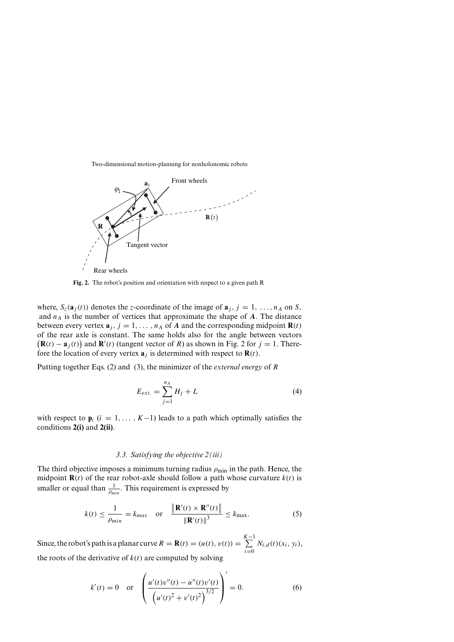

**Fig. 2.** The robot's position and orientation with respect to a given path R

where,  $S_z(\mathbf{a}_j(t))$  denotes the *z*-coordinate of the image of  $\mathbf{a}_j$ ,  $j = 1, \ldots, n_A$  on *S*, and  $n_A$  is the number of vertices that approximate the shape of  $A$ . The distance between every vertex  $\mathbf{a}_j$ ,  $j = 1, \ldots, n_A$  of *A* and the corresponding midpoint  $\mathbf{R}(t)$ of the rear axle is constant. The same holds also for the angle between vectors  $(\mathbf{R}(t) - \mathbf{a}_j(t))$  and  $\mathbf{R}'(t)$  (tangent vector of *R*) as shown in Fig. 2 for  $j = 1$ . Therefore the location of every vertex  $\mathbf{a}_i$  is determined with respect to  $\mathbf{R}(t)$ .

Putting together Eqs. (2) and (3), the minimizer of the *external energy* of *R*

$$
E_{ext.} = \sum_{j=1}^{n_A} H_j + L \tag{4}
$$

with respect to  $\mathbf{p}_i$  ( $i = 1, \ldots, K-1$ ) leads to a path which optimally satisfies the conditions **2(i)** and **2(ii)**.

# *3.3. Satisfying the objective 2(iii)*

The third objective imposes a minimum turning radius  $\rho_{\min}$  in the path. Hence, the midpoint  $\mathbf{R}(t)$  of the rear robot-axle should follow a path whose curvature  $k(t)$  is smaller or equal than  $\frac{1}{\rho_{min}}$ . This requirement is expressed by

$$
k(t) \le \frac{1}{\rho_{min}} = k_{max} \quad \text{or} \quad \frac{\|\mathbf{R}'(t) \times \mathbf{R}''(t)\|}{\|\mathbf{R}'(t)\|^3} \le k_{max}.\tag{5}
$$

Since, the robot's path is a planar curve  $R = \mathbf{R}(t) = (u(t), v(t)) = \sum_{k=1}^{K-1}$ *i*=0  $N_{i,d}(t)(x_i, y_i),$ the roots of the derivative of  $k(t)$  are computed by solving

$$
k'(t) = 0 \quad \text{or} \quad \left( \frac{u'(t)v''(t) - u''(t)v'(t)}{\left(u'(t)^2 + v'(t)^2\right)^{3/2}} \right)' = 0. \tag{6}
$$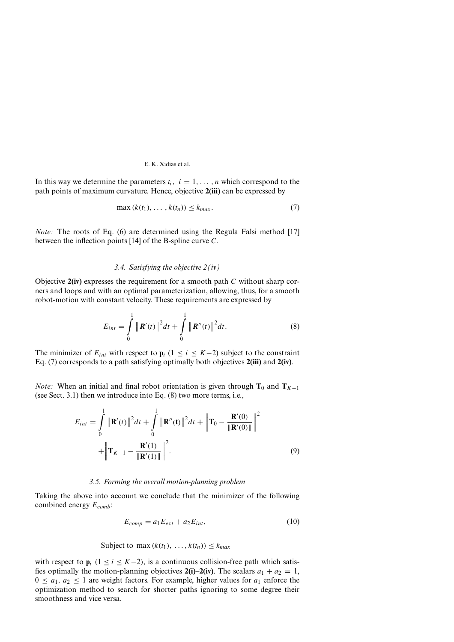In this way we determine the parameters  $t_i$ ,  $i = 1, \ldots, n$  which correspond to the path points of maximum curvature. Hence, objective **2(iii)** can be expressed by

$$
\max(k(t_1),\ldots,k(t_n))\leq k_{max}.\tag{7}
$$

*Note:* The roots of Eq. (6) are determined using the Regula Falsi method [17] between the inflection points [14] of the B-spline curve *C*.

## *3.4. Satisfying the objective 2(iv)*

Objective **2(iv)** expresses the requirement for a smooth path *C* without sharp corners and loops and with an optimal parameterization, allowing, thus, for a smooth robot-motion with constant velocity. These requirements are expressed by

$$
E_{int} = \int_{0}^{1} \|\mathbf{R}'(t)\|^2 dt + \int_{0}^{1} \|\mathbf{R}''(t)\|^2 dt.
$$
 (8)

The minimizer of  $E_{int}$  with respect to  $\mathbf{p}_i$  (1 ≤ *i* ≤ *K*−2) subject to the constraint Eq. (7) corresponds to a path satisfying optimally both objectives **2(iii)** and **2(iv)**.

*Note:* When an initial and final robot orientation is given through  $T_0$  and  $T_{K-1}$ (see Sect. 3.1) then we introduce into Eq. (8) two more terms, i.e.,

$$
E_{int} = \int_{0}^{1} \|\mathbf{R}'(t)\|^2 dt + \int_{0}^{1} \|\mathbf{R}''(t)\|^2 dt + \left\|\mathbf{T}_0 - \frac{\mathbf{R}'(0)}{\|\mathbf{R}'(0)\|}\right\|^2 + \left\|\mathbf{T}_{K-1} - \frac{\mathbf{R}'(1)}{\|\mathbf{R}'(1)\|}\right\|^2.
$$
\n(9)

### *3.5. Forming the overall motion-planning problem*

Taking the above into account we conclude that the minimizer of the following combined energy *Ecomb*:

$$
E_{comp} = a_1 E_{ext} + a_2 E_{int}, \qquad (10)
$$

$$
Subject to max (k(t1), ..., k(tn)) \leq kmax
$$

with respect to  $\mathbf{p}_i$  (1 ≤ *i* ≤ *K*−2), is a continuous collision-free path which satisfies optimally the motion-planning objectives **2(i)–2(iv)**. The scalars  $a_1 + a_2 = 1$ ,  $0 \le a_1, a_2 \le 1$  are weight factors. For example, higher values for  $a_1$  enforce the optimization method to search for shorter paths ignoring to some degree their smoothness and vice versa.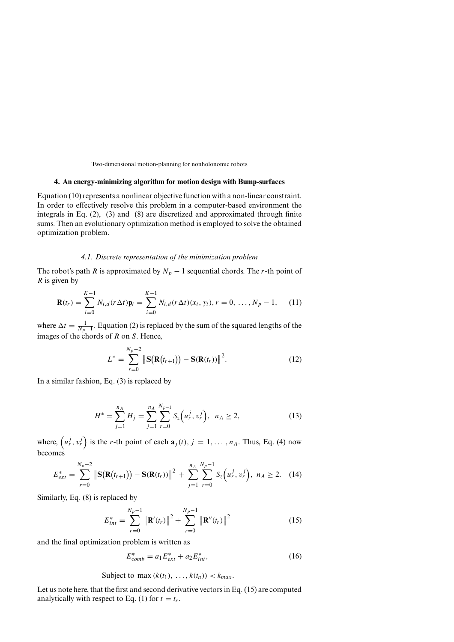## **4. An energy-minimizing algorithm for motion design with Bump-surfaces**

Equation (10) represents a nonlinear objective function with a non-linear constraint. In order to effectively resolve this problem in a computer-based environment the integrals in Eq. (2), (3) and (8) are discretized and approximated through finite sums. Then an evolutionary optimization method is employed to solve the obtained optimization problem.

## *4.1. Discrete representation of the minimization problem*

The robot's path *R* is approximated by  $N_p - 1$  sequential chords. The *r*-th point of *R* is given by

$$
\mathbf{R}(t_r) = \sum_{i=0}^{K-1} N_{i,d}(r\Delta t)\mathbf{p}_i = \sum_{i=0}^{K-1} N_{i,d}(r\Delta t)(x_i, y_i), r = 0, ..., N_p - 1,
$$
 (11)

where  $\Delta t = \frac{1}{N_p - 1}$ . Equation (2) is replaced by the sum of the squared lengths of the images of the chords of *R* on *S*. Hence,

$$
L^* = \sum_{r=0}^{N_p - 2} \left\| \mathbf{S}(\mathbf{R}(t_{r+1})) - \mathbf{S}(\mathbf{R}(t_r)) \right\|^2.
$$
 (12)

In a similar fashion, Eq. (3) is replaced by

$$
H^* = \sum_{j=1}^{n_A} H_j = \sum_{j=1}^{n_A} \sum_{r=0}^{N_{p-1}} S_z (u_r^j, v_r^j), \ \ n_A \ge 2,
$$
 (13)

where,  $(u_r^j, v_r^j)$  is the *r*-th point of each  $\mathbf{a}_j(t)$ ,  $j = 1, \ldots, n_A$ . Thus, Eq. (4) now becomes

$$
E_{ext}^* = \sum_{r=0}^{N_p-2} \left\| \mathbf{S}(\mathbf{R}(t_{r+1})) - \mathbf{S}(\mathbf{R}(t_r)) \right\|^2 + \sum_{j=1}^{n_A} \sum_{r=0}^{N_p-1} S_z(u_r^j, v_r^j), \ n_A \ge 2. \quad (14)
$$

Similarly, Eq. (8) is replaced by

$$
E_{int}^{*} = \sum_{r=0}^{N_p - 1} \|\mathbf{R}'(t_r)\|^2 + \sum_{r=0}^{N_p - 1} \|\mathbf{R}''(t_r)\|^2
$$
 (15)

and the final optimization problem is written as

$$
E_{comb}^* = a_1 E_{ext}^* + a_2 E_{int}^*,\tag{16}
$$

Subject to max  $(k(t_1), \ldots, k(t_n)) < k_{max}$ .

Let us note here, that the first and second derivative vectors in Eq. (15) are computed analytically with respect to Eq. (1) for  $t = t_r$ .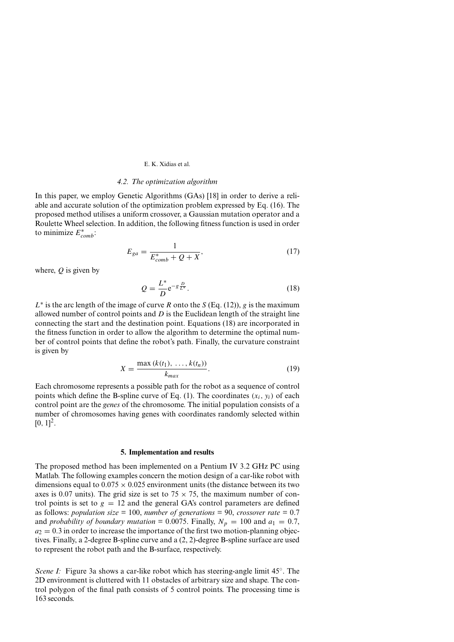#### E. K. Xidias et al.

#### *4.2. The optimization algorithm*

In this paper, we employ Genetic Algorithms (GAs) [18] in order to derive a reliable and accurate solution of the optimization problem expressed by Eq. (16). The proposed method utilises a uniform crossover, a Gaussian mutation operator and a Roulette Wheel selection. In addition, the following fitness function is used in order to minimize *E*∗ *comb*:

$$
E_{ga} = \frac{1}{E_{comb}^* + Q + X},\tag{17}
$$

where, *Q* is given by

$$
Q = \frac{L^*}{D} e^{-g \frac{D}{L^*}}.
$$
\n(18)

 $L^*$  is the arc length of the image of curve *R* onto the *S* (Eq. (12)), *g* is the maximum allowed number of control points and *D* is the Euclidean length of the straight line connecting the start and the destination point. Equations (18) are incorporated in the fitness function in order to allow the algorithm to determine the optimal number of control points that define the robot's path. Finally, the curvature constraint is given by

$$
X = \frac{\max (k(t_1), \, \dots, k(t_n))}{k_{max}}.
$$
 (19)

Each chromosome represents a possible path for the robot as a sequence of control points which define the B-spline curve of Eq. (1). The coordinates  $(x_i, y_i)$  of each control point are the *genes* of the chromosome. The initial population consists of a number of chromosomes having genes with coordinates randomly selected within  $[0, 1]^2$ .

#### **5. Implementation and results**

The proposed method has been implemented on a Pentium IV 3*.*2 GHz PC using Matlab. The following examples concern the motion design of a car-like robot with dimensions equal to  $0.075 \times 0.025$  environment units (the distance between its two axes is 0.07 units). The grid size is set to  $75 \times 75$ , the maximum number of control points is set to  $g = 12$  and the general GA's control parameters are defined as follows: *population size* = 100, *number of generations* = 90, *crossover rate* = 0.7 and *probability of boundary mutation* = 0.0075. Finally,  $N_p = 100$  and  $a_1 = 0.7$ ,  $a_2 = 0.3$  in order to increase the importance of the first two motion-planning objectives. Finally, a 2-degree B-spline curve and a (2, 2)-degree B-spline surface are used to represent the robot path and the B-surface, respectively.

*Scene I:* Figure 3a shows a car-like robot which has steering-angle limit 45°. The 2D environment is cluttered with 11 obstacles of arbitrary size and shape. The control polygon of the final path consists of 5 control points. The processing time is 163 seconds.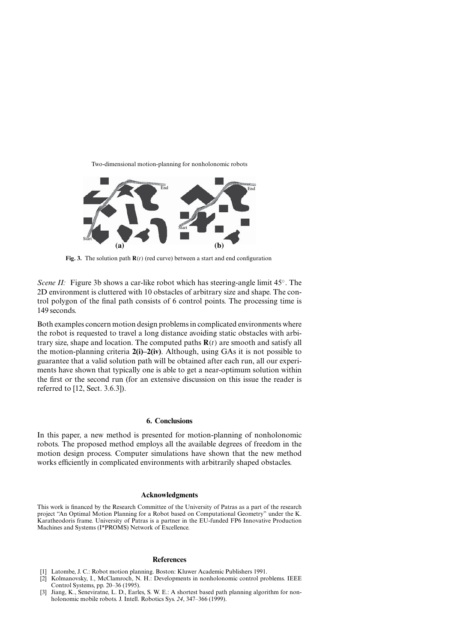Two-dimensional motion-planning for nonholonomic robots



**Fig. 3.** The solution path  $\mathbf{R}(t)$  (red curve) between a start and end configuration

*Scene II:* Figure 3b shows a car-like robot which has steering-angle limit 45°. The 2D environment is cluttered with 10 obstacles of arbitrary size and shape. The control polygon of the final path consists of 6 control points. The processing time is 149 seconds.

Both examples concern motion design problems in complicated environments where the robot is requested to travel a long distance avoiding static obstacles with arbitrary size, shape and location. The computed paths **R***(t)* are smooth and satisfy all the motion-planning criteria **2(i)–2(iv)**. Although, using GAs it is not possible to guarantee that a valid solution path will be obtained after each run, all our experiments have shown that typically one is able to get a near-optimum solution within the first or the second run (for an extensive discussion on this issue the reader is referred to [12, Sect. 3.6.3]).

# **6. Conclusions**

In this paper, a new method is presented for motion-planning of nonholonomic robots. The proposed method employs all the available degrees of freedom in the motion design process. Computer simulations have shown that the new method works efficiently in complicated environments with arbitrarily shaped obstacles.

#### **Acknowledgments**

This work is financed by the Research Committee of the University of Patras as a part of the research project "An Optimal Motion Planning for a Robot based on Computational Geometry" under the K. Karatheodoris frame. University of Patras is a partner in the EU-funded FP6 Innovative Production Machines and Systems (I\*PROMS) Network of Excellence.

#### **References**

- [1] Latombe, J. C.: Robot motion planning. Boston: Kluwer Academic Publishers 1991.
- [2] Kolmanovsky, I., McClamroch, N. H.: Developments in nonholonomic control problems. IEEE Control Systems, pp. 20–36 (1995).
- [3] Jiang, K., Seneviratne, L. D., Earles, S. W. E.: A shortest based path planning algorithm for nonholonomic mobile robots. J. Intell. Robotics Sys. *24*, 347–366 (1999).